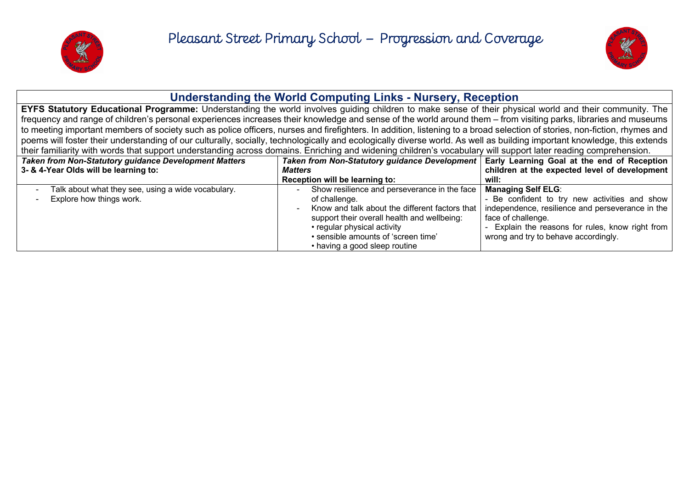



# **Understanding the World Computing Links - Nursery, Reception**

**EYFS Statutory Educational Programme:** Understanding the world involves guiding children to make sense of their physical world and their community. The frequency and range of children's personal experiences increases their knowledge and sense of the world around them – from visiting parks, libraries and museums to meeting important members of society such as police officers, nurses and firefighters. In addition, listening to a broad selection of stories, non-fiction, rhymes and poems will foster their understanding of our culturally, socially, technologically and ecologically diverse world. As well as building important knowledge, this extends their familiarity with words that support understanding across domains. Enriching and widening children's vocabulary will support later reading comprehension.

| <b>Taken from Non-Statutory guidance Development Matters</b><br>3- & 4-Year Olds will be learning to: | Taken from Non-Statutory guidance Development   Early Learning Goal at the end of Reception<br><b>Matters</b>                                                                                                       | children at the expected level of development                                                                                                                                                                                                                                                   |
|-------------------------------------------------------------------------------------------------------|---------------------------------------------------------------------------------------------------------------------------------------------------------------------------------------------------------------------|-------------------------------------------------------------------------------------------------------------------------------------------------------------------------------------------------------------------------------------------------------------------------------------------------|
|                                                                                                       | Reception will be learning to:                                                                                                                                                                                      | will:                                                                                                                                                                                                                                                                                           |
| Talk about what they see, using a wide vocabulary.<br>Explore how things work.                        | Show resilience and perseverance in the face<br>of challenge.<br>support their overall health and wellbeing:<br>• regular physical activity<br>· sensible amounts of 'screen time'<br>• having a good sleep routine | <b>Managing Self ELG:</b><br>- Be confident to try new activities and show<br>Know and talk about the different factors that   independence, resilience and perseverance in the<br>face of challenge.<br>Explain the reasons for rules, know right from<br>wrong and try to behave accordingly. |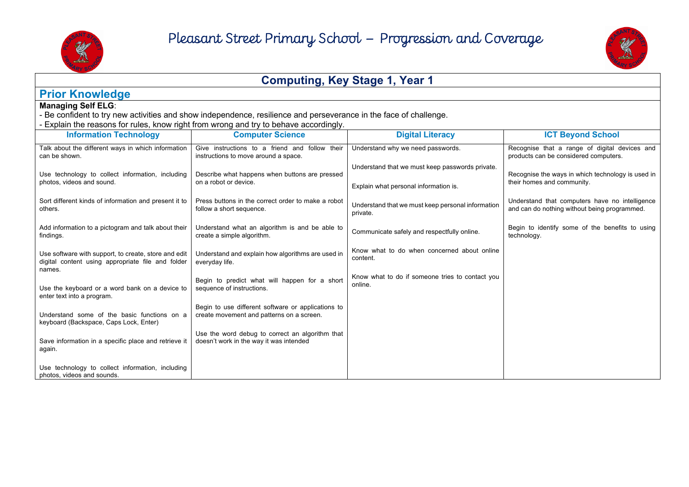



## **Computing, Key Stage 1, Year 1**

## **Prior Knowledge**

### **Managing Self ELG**:

- Be confident to try new activities and show independence, resilience and perseverance in the face of challenge.
- Explain the reasons for rules, know right from wrong and try to behave accordingly.

| <b>Information Technology</b>                                                                                       | <b>Computer Science</b>                                                                         | <b>Digital Literacy</b>                                       | <b>ICT Beyond School</b>                                                                       |
|---------------------------------------------------------------------------------------------------------------------|-------------------------------------------------------------------------------------------------|---------------------------------------------------------------|------------------------------------------------------------------------------------------------|
| Talk about the different ways in which information<br>can be shown.                                                 | Give instructions to a friend and follow<br>their<br>instructions to move around a space.       | Understand why we need passwords.                             | Recognise that a range of digital devices and<br>products can be considered computers.         |
| Use technology to collect information, including                                                                    | Describe what happens when buttons are pressed<br>on a robot or device.                         | Understand that we must keep passwords private.               | Recognise the ways in which technology is used in                                              |
| photos, videos and sound.                                                                                           |                                                                                                 | Explain what personal information is.                         | their homes and community.                                                                     |
| Sort different kinds of information and present it to<br>others.                                                    | Press buttons in the correct order to make a robot<br>follow a short sequence.                  | Understand that we must keep personal information<br>private. | Understand that computers have no intelligence<br>and can do nothing without being programmed. |
| Add information to a pictogram and talk about their<br>findings.                                                    | Understand what an algorithm is and be able to<br>create a simple algorithm.                    | Communicate safely and respectfully online.                   | Begin to identify some of the benefits to using<br>technology.                                 |
| Use software with support, to create, store and edit<br>digital content using appropriate file and folder<br>names. | Understand and explain how algorithms are used in<br>everyday life.                             | Know what to do when concerned about online<br>content.       |                                                                                                |
| Use the keyboard or a word bank on a device to<br>enter text into a program.                                        | Begin to predict what will happen for a short<br>sequence of instructions.                      | Know what to do if someone tries to contact you<br>online.    |                                                                                                |
| Understand some of the basic functions on a<br>keyboard (Backspace, Caps Lock, Enter)                               | Begin to use different software or applications to<br>create movement and patterns on a screen. |                                                               |                                                                                                |
| Save information in a specific place and retrieve it<br>again.                                                      | Use the word debug to correct an algorithm that<br>doesn't work in the way it was intended      |                                                               |                                                                                                |
| Use technology to collect information, including<br>photos, videos and sounds.                                      |                                                                                                 |                                                               |                                                                                                |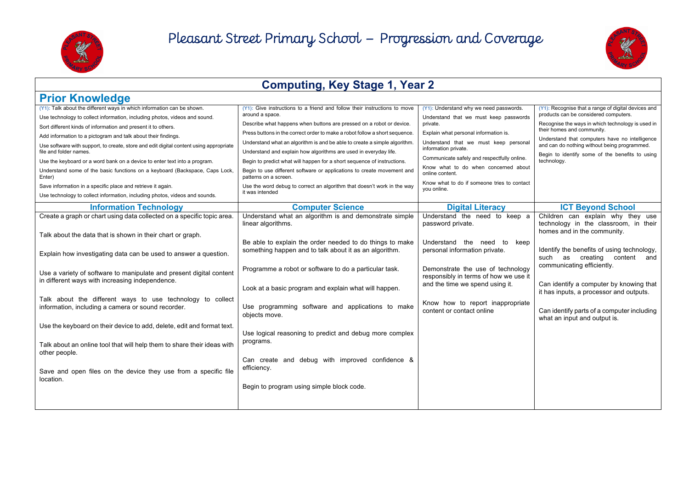



### **Computing, Key Stage 1, Year 2 Prior Knowledge (Y1):** Talk about the different ways in which information can be shown. Use technology to collect information, including photos, videos and sound. Sort different kinds of information and present it to others. Add information to a pictogram and talk about their findings. Use software with support, to create, store and edit digital content using appropriate file and folder names. Use the keyboard or a word bank on a device to enter text into a program. Understand some of the basic functions on a keyboard (Backspace, Caps Lock, Enter) Save information in a specific place and retrieve it again. Use technology to collect information, including photos, videos and sounds. **(Y1):** Give instructions to a friend and follow their instructions to move around a space. Describe what happens when buttons are pressed on a robot or device. Press buttons in the correct order to make a robot follow a short sequence. Understand what an algorithm is and be able to create a simple algorithm. Understand and explain how algorithms are used in everyday life. Begin to predict what will happen for a short sequence of instructions. Begin to use different software or applications to create movement and patterns on a screen. Use the word debug to correct an algorithm that doesn't work in the way it was intended **(Y1):** Understand why we need passwords. Understand that we must keep passwords private. Explain what personal information is. Understand that we must keep personal information private. Communicate safely and respectfully online. Know what to do when concerned about online content. Know what to do if someone tries to contact you online. **(Y1):** Recognise that a range of digital devices and products can be considered computers. Recognise the ways in which technology is used in their homes and community. Understand that computers have no intelligence and can do nothing without being programmed. Begin to identify some of the benefits to using technology. **Information Technology Computer Science Digital Literacy ICT Beyond School** Create a graph or chart using data collected on a specific topic area. Talk about the data that is shown in their chart or graph. Explain how investigating data can be used to answer a question. Use a variety of software to manipulate and present digital content in different ways with increasing independence. Talk about the different ways to use technology to collect information, including a camera or sound recorder. Use the keyboard on their device to add, delete, edit and format text. Talk about an online tool that will help them to share their ideas with other people. Save and open files on the device they use from a specific file location. Understand what an algorithm is and demonstrate simple linear algorithms. Be able to explain the order needed to do things to make something happen and to talk about it as an algorithm. Programme a robot or software to do a particular task. Look at a basic program and explain what will happen. Use programming software and applications to make objects move. Use logical reasoning to predict and debug more complex programs. Can create and debug with improved confidence & efficiency. Begin to program using simple block code. Understand the need to keep a password private. Understand the need to keep personal information private. Demonstrate the use of technology responsibly in terms of how we use it and the time we spend using it. Know how to report inappropriate content or contact online Children can explain why they use technology in the classroom, in their homes and in the community. Identify the benefits of using technology, such as creating content and communicating efficiently. Can identify a computer by knowing that it has inputs, a processor and outputs. Can identify parts of a computer including what an input and output is.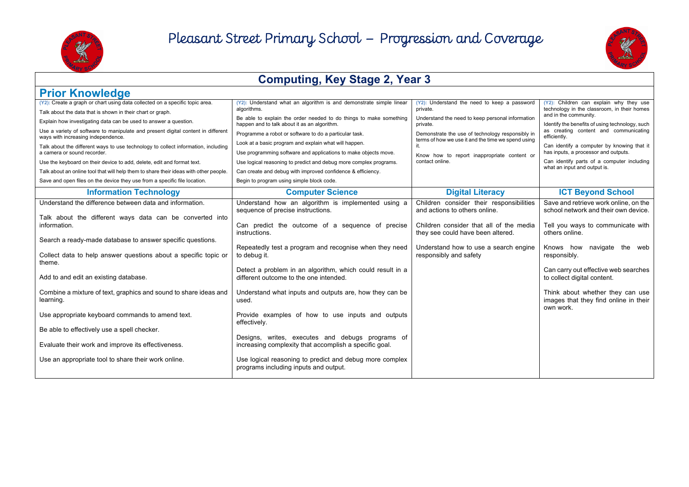



| <b>Computing, Key Stage 2, Year 3</b>                                                                                                                              |                                                                                                                          |                                                                                                        |                                                                                        |
|--------------------------------------------------------------------------------------------------------------------------------------------------------------------|--------------------------------------------------------------------------------------------------------------------------|--------------------------------------------------------------------------------------------------------|----------------------------------------------------------------------------------------|
| <b>Prior Knowledge</b>                                                                                                                                             |                                                                                                                          |                                                                                                        |                                                                                        |
| (Y2): Create a graph or chart using data collected on a specific topic area.<br>Talk about the data that is shown in their chart or graph.                         | (Y2): Understand what an algorithm is and demonstrate simple linear<br>algorithms.                                       | (Y2): Understand the need to keep a password<br>private.                                               | (Y2): Children can explain why they use<br>technology in the classroom, in their homes |
| Explain how investigating data can be used to answer a question.                                                                                                   | Be able to explain the order needed to do things to make something<br>happen and to talk about it as an algorithm.       | Understand the need to keep personal information<br>private.                                           | and in the community.<br>Identify the benefits of using technology, such               |
| Use a variety of software to manipulate and present digital content in different<br>ways with increasing independence.                                             | Programme a robot or software to do a particular task.                                                                   | Demonstrate the use of technology responsibly in<br>terms of how we use it and the time we spend using | as creating content and communicating<br>efficiently.                                  |
| Talk about the different ways to use technology to collect information, including<br>a camera or sound recorder.                                                   | Look at a basic program and explain what will happen.<br>Use programming software and applications to make objects move. | it.<br>Know how to report inappropriate content or                                                     | Can identify a computer by knowing that it<br>has inputs, a processor and outputs.     |
| Use the keyboard on their device to add, delete, edit and format text.                                                                                             | Use logical reasoning to predict and debug more complex programs.                                                        | contact online.                                                                                        | Can identify parts of a computer including<br>what an input and output is.             |
| Talk about an online tool that will help them to share their ideas with other people.<br>Save and open files on the device they use from a specific file location. | Can create and debug with improved confidence & efficiency.<br>Begin to program using simple block code.                 |                                                                                                        |                                                                                        |
| <b>Information Technology</b>                                                                                                                                      | <b>Computer Science</b>                                                                                                  | <b>Digital Literacy</b>                                                                                | <b>ICT Beyond School</b>                                                               |
| Understand the difference between data and information.                                                                                                            | Understand how an algorithm is implemented using a<br>sequence of precise instructions.                                  | Children consider their responsibilities<br>and actions to others online.                              | Save and retrieve work online, on the<br>school network and their own device.          |
| Talk about the different ways data can be converted into<br>information.                                                                                           | Can predict the outcome of a sequence of precise<br>instructions.                                                        | Children consider that all of the media<br>they see could have been altered.                           | Tell you ways to communicate with<br>others online.                                    |
| Search a ready-made database to answer specific questions.                                                                                                         | Repeatedly test a program and recognise when they need                                                                   | Understand how to use a search engine                                                                  | Knows how navigate the web                                                             |
| Collect data to help answer questions about a specific topic or<br>theme.                                                                                          | to debug it.                                                                                                             | responsibly and safety                                                                                 | responsibly.                                                                           |
| Add to and edit an existing database.                                                                                                                              | Detect a problem in an algorithm, which could result in a<br>different outcome to the one intended.                      |                                                                                                        | Can carry out effective web searches<br>to collect digital content.                    |
| Combine a mixture of text, graphics and sound to share ideas and<br>learning.                                                                                      | Understand what inputs and outputs are, how they can be<br>used.                                                         |                                                                                                        | Think about whether they can use<br>images that they find online in their<br>own work. |
| Use appropriate keyboard commands to amend text.                                                                                                                   | Provide examples of how to use inputs and outputs<br>effectively.                                                        |                                                                                                        |                                                                                        |
| Be able to effectively use a spell checker.                                                                                                                        | Designs, writes, executes and debugs programs of                                                                         |                                                                                                        |                                                                                        |
| Evaluate their work and improve its effectiveness.                                                                                                                 | increasing complexity that accomplish a specific goal.                                                                   |                                                                                                        |                                                                                        |
| Use an appropriate tool to share their work online.                                                                                                                | Use logical reasoning to predict and debug more complex<br>programs including inputs and output.                         |                                                                                                        |                                                                                        |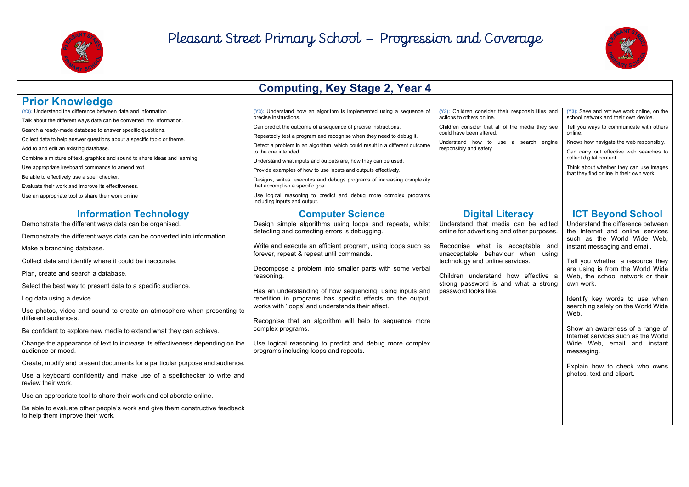



#### **Computing, Key Stage 2, Year 4 Prior Knowledge (Y3):** Understand the difference between data and information Talk about the different ways data can be converted into information. Search a ready-made database to answer specific questions. Collect data to help answer questions about a specific topic or theme. Add to and edit an existing database. Combine a mixture of text, graphics and sound to share ideas and learning Use appropriate keyboard commands to amend text. Be able to effectively use a spell checker. Evaluate their work and improve its effectiveness. Use an appropriate tool to share their work online **(Y3):** Understand how an algorithm is implemented using a sequence of precise instructions. Can predict the outcome of a sequence of precise instructions. Repeatedly test a program and recognise when they need to debug it. Detect a problem in an algorithm, which could result in a different outcome to the one intended. Understand what inputs and outputs are, how they can be used. Provide examples of how to use inputs and outputs effectively. Designs, writes, executes and debugs programs of increasing complexity that accomplish a specific goal. Use logical reasoning to predict and debug more complex programs including inputs and output. **(Y3):** Children consider their responsibilities and actions to others online. Children consider that all of the media they see could have been altered. Understand how to use a search engine responsibly and safety **(Y3):** Save and retrieve work online, on the school network and their own device. Tell you ways to communicate with others online. Knows how navigate the web responsibly. Can carry out effective web searches to collect digital content. Think about whether they can use images that they find online in their own work. **Information Technology Computer Science Digital Literacy ICT Beyond School** Demonstrate the different ways data can be organised. Demonstrate the different ways data can be converted into information. Make a branching database. Collect data and identify where it could be inaccurate. Plan, create and search a database. Select the best way to present data to a specific audience. Log data using a device. Use photos, video and sound to create an atmosphere when presenting to different audiences. Be confident to explore new media to extend what they can achieve. Change the appearance of text to increase its effectiveness depending on the audience or mood. Create, modify and present documents for a particular purpose and audience. Use a keyboard confidently and make use of a spellchecker to write and review their work. Use an appropriate tool to share their work and collaborate online. Be able to evaluate other people's work and give them constructive feedback to help them improve their work. Design simple algorithms using loops and repeats, whilst detecting and correcting errors is debugging. Write and execute an efficient program, using loops such as forever, repeat & repeat until commands. Decompose a problem into smaller parts with some verbal reasoning. Has an understanding of how sequencing, using inputs and repetition in programs has specific effects on the output, works with 'loops' and understands their effect. Recognise that an algorithm will help to sequence more complex programs. Use logical reasoning to predict and debug more complex programs including loops and repeats. Understand that media can be edited online for advertising and other purposes. Recognise what is acceptable and unacceptable behaviour when using technology and online services. Children understand how effective a strong password is and what a strong password looks like. Understand the difference between the Internet and online services such as the World Wide Web, instant messaging and email. Tell you whether a resource they are using is from the World Wide Web, the school network or their own work. Identify key words to use when searching safely on the World Wide Web. Show an awareness of a range of Internet services such as the World Wide Web, email and instant messaging. Explain how to check who owns photos, text and clipart.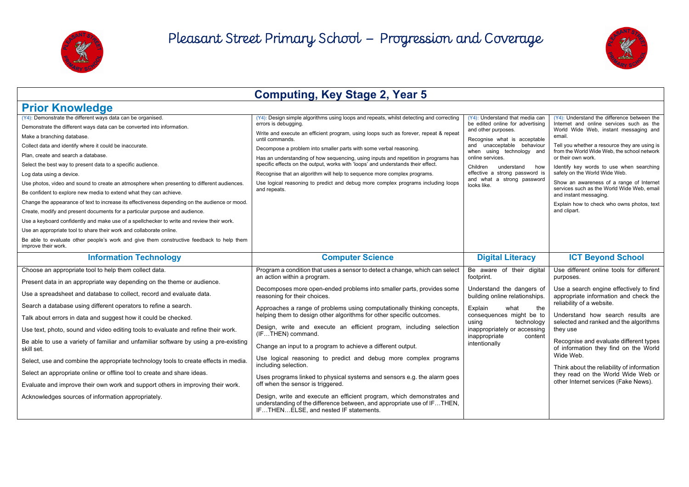



|                                                                                                                                                                                                                                                                                                                                                                                                                                                                                                                                                                                                                                                                                                                                                                                                                                                                                                                                                                                                               | <b>Computing, Key Stage 2, Year 5</b>                                                                                                                                                                                                                                                                                                                                                                                                                                                                                                                                                                                                                                                                                                                                                                                                                                                                                                        |                                                                                                                                                                                                                                                                                                                           |                                                                                                                                                                                                                                                                                                                                                                                                                                                                                                                                 |
|---------------------------------------------------------------------------------------------------------------------------------------------------------------------------------------------------------------------------------------------------------------------------------------------------------------------------------------------------------------------------------------------------------------------------------------------------------------------------------------------------------------------------------------------------------------------------------------------------------------------------------------------------------------------------------------------------------------------------------------------------------------------------------------------------------------------------------------------------------------------------------------------------------------------------------------------------------------------------------------------------------------|----------------------------------------------------------------------------------------------------------------------------------------------------------------------------------------------------------------------------------------------------------------------------------------------------------------------------------------------------------------------------------------------------------------------------------------------------------------------------------------------------------------------------------------------------------------------------------------------------------------------------------------------------------------------------------------------------------------------------------------------------------------------------------------------------------------------------------------------------------------------------------------------------------------------------------------------|---------------------------------------------------------------------------------------------------------------------------------------------------------------------------------------------------------------------------------------------------------------------------------------------------------------------------|---------------------------------------------------------------------------------------------------------------------------------------------------------------------------------------------------------------------------------------------------------------------------------------------------------------------------------------------------------------------------------------------------------------------------------------------------------------------------------------------------------------------------------|
| <b>Prior Knowledge</b>                                                                                                                                                                                                                                                                                                                                                                                                                                                                                                                                                                                                                                                                                                                                                                                                                                                                                                                                                                                        |                                                                                                                                                                                                                                                                                                                                                                                                                                                                                                                                                                                                                                                                                                                                                                                                                                                                                                                                              |                                                                                                                                                                                                                                                                                                                           |                                                                                                                                                                                                                                                                                                                                                                                                                                                                                                                                 |
| (Y4): Demonstrate the different ways data can be organised.<br>Demonstrate the different ways data can be converted into information.<br>Make a branching database.<br>Collect data and identify where it could be inaccurate.<br>Plan, create and search a database.<br>Select the best way to present data to a specific audience.<br>Log data using a device.<br>Use photos, video and sound to create an atmosphere when presenting to different audiences.<br>Be confident to explore new media to extend what they can achieve.<br>Change the appearance of text to increase its effectiveness depending on the audience or mood.<br>Create, modify and present documents for a particular purpose and audience.<br>Use a keyboard confidently and make use of a spellchecker to write and review their work.<br>Use an appropriate tool to share their work and collaborate online.<br>Be able to evaluate other people's work and give them constructive feedback to help them<br>improve their work. | (Y4): Design simple algorithms using loops and repeats, whilst detecting and correcting<br>errors is debugging.<br>Write and execute an efficient program, using loops such as forever, repeat & repeat<br>until commands.<br>Decompose a problem into smaller parts with some verbal reasoning.<br>Has an understanding of how sequencing, using inputs and repetition in programs has<br>specific effects on the output, works with 'loops' and understands their effect.<br>Recognise that an algorithm will help to sequence more complex programs.<br>Use logical reasoning to predict and debug more complex programs including loops<br>and repeats.                                                                                                                                                                                                                                                                                  | (Y4): Understand that media can<br>be edited online for advertising<br>and other purposes.<br>Recognise what is acceptable<br>and unacceptable behaviour<br>when using technology and<br>online services.<br>Children<br>understand<br>how<br>effective a strong password is<br>and what a strong password<br>looks like. | (Y4): Understand the difference between the<br>Internet and online services such as the<br>World Wide Web, instant messaging and<br>email.<br>Tell you whether a resource they are using is<br>from the World Wide Web, the school network<br>or their own work.<br>Identify key words to use when searching<br>safely on the World Wide Web.<br>Show an awareness of a range of Internet<br>services such as the World Wide Web, email<br>and instant messaging.<br>Explain how to check who owns photos, text<br>and clipart. |
| <b>Information Technology</b>                                                                                                                                                                                                                                                                                                                                                                                                                                                                                                                                                                                                                                                                                                                                                                                                                                                                                                                                                                                 | <b>Computer Science</b>                                                                                                                                                                                                                                                                                                                                                                                                                                                                                                                                                                                                                                                                                                                                                                                                                                                                                                                      | <b>Digital Literacy</b>                                                                                                                                                                                                                                                                                                   | <b>ICT Beyond School</b>                                                                                                                                                                                                                                                                                                                                                                                                                                                                                                        |
| Choose an appropriate tool to help them collect data.<br>Present data in an appropriate way depending on the theme or audience.<br>Use a spreadsheet and database to collect, record and evaluate data.<br>Search a database using different operators to refine a search.<br>Talk about errors in data and suggest how it could be checked.<br>Use text, photo, sound and video editing tools to evaluate and refine their work.<br>Be able to use a variety of familiar and unfamiliar software by using a pre-existing<br>skill set.<br>Select, use and combine the appropriate technology tools to create effects in media.<br>Select an appropriate online or offline tool to create and share ideas.<br>Evaluate and improve their own work and support others in improving their work.<br>Acknowledges sources of information appropriately.                                                                                                                                                           | Program a condition that uses a sensor to detect a change, which can select<br>an action within a program.<br>Decomposes more open-ended problems into smaller parts, provides some<br>reasoning for their choices.<br>Approaches a range of problems using computationally thinking concepts,<br>helping them to design other algorithms for other specific outcomes.<br>Design, write and execute an efficient program, including selection<br>(IFTHEN) command.<br>Change an input to a program to achieve a different output.<br>Use logical reasoning to predict and debug more complex programs<br>including selection.<br>Uses programs linked to physical systems and sensors e.g. the alarm goes<br>off when the sensor is triggered.<br>Design, write and execute an efficient program, which demonstrates and<br>understanding of the difference between, and appropriate use of IFTHEN,<br>IFTHENELSE. and nested IF statements. | Be aware of their digital<br>footprint.<br>Understand the dangers of<br>building online relationships.<br>Explain<br>what<br>the<br>consequences might be to<br>technology<br>usina<br>inappropriately or accessing<br>inappropriate<br>content<br>intentionally                                                          | Use different online tools for different<br>purposes.<br>Use a search engine effectively to find<br>appropriate information and check the<br>reliability of a website.<br>Understand how search results are<br>selected and ranked and the algorithms<br>they use<br>Recognise and evaluate different types<br>of information they find on the World<br>Wide Web.<br>Think about the reliability of information<br>they read on the World Wide Web or<br>other Internet services (Fake News).                                   |